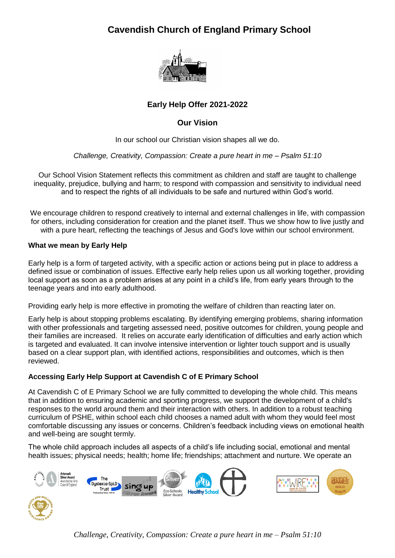# **Cavendish Church of England Primary School**



# **Early Help Offer 2021-2022**

## **Our Vision**

In our school our Christian vision shapes all we do.

#### *Challenge, Creativity, Compassion: Create a pure heart in me – Psalm 51:10*

Our School Vision Statement reflects this commitment as children and staff are taught to challenge inequality, prejudice, bullying and harm; to respond with compassion and sensitivity to individual need and to respect the rights of all individuals to be safe and nurtured within God's world.

We encourage children to respond creatively to internal and external challenges in life, with compassion for others, including consideration for creation and the planet itself. Thus we show how to live justly and with a pure heart, reflecting the teachings of Jesus and God's love within our school environment.

#### **What we mean by Early Help**

Early help is a form of targeted activity, with a specific action or actions being put in place to address a defined issue or combination of issues. Effective early help relies upon us all working together, providing local support as soon as a problem arises at any point in a child's life, from early years through to the teenage years and into early adulthood.

Providing early help is more effective in promoting the welfare of children than reacting later on.

Early help is about stopping problems escalating. By identifying emerging problems, sharing information with other professionals and targeting assessed need, positive outcomes for children, young people and their families are increased. It relies on accurate early identification of difficulties and early action which is targeted and evaluated. It can involve intensive intervention or lighter touch support and is usually based on a clear support plan, with identified actions, responsibilities and outcomes, which is then reviewed.

### **Accessing Early Help Support at Cavendish C of E Primary School**

At Cavendish C of E Primary School we are fully committed to developing the whole child. This means that in addition to ensuring academic and sporting progress, we support the development of a child's responses to the world around them and their interaction with others. In addition to a robust teaching curriculum of PSHE, within school each child chooses a named adult with whom they would feel most comfortable discussing any issues or concerns. Children's feedback including views on emotional health and well-being are sought termly.

The whole child approach includes all aspects of a child's life including social, emotional and mental health issues; physical needs; health; home life; friendships; attachment and nurture. We operate an



*Challenge, Creativity, Compassion: Create a pure heart in me – Psalm 51:10*